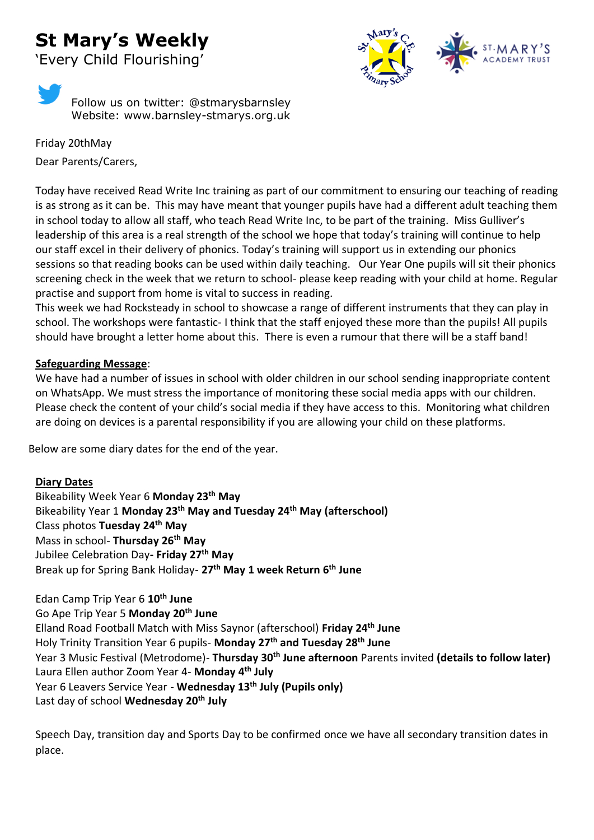## **St Mary's Weekly**

'Every Child Flourishing'



Follow us on twitter: @stmarysbarnsley Website: www.barnsley-stmarys.org.uk

Friday 20thMay Dear Parents/Carers,

Today have received Read Write Inc training as part of our commitment to ensuring our teaching of reading is as strong as it can be. This may have meant that younger pupils have had a different adult teaching them in school today to allow all staff, who teach Read Write Inc, to be part of the training. Miss Gulliver's leadership of this area is a real strength of the school we hope that today's training will continue to help our staff excel in their delivery of phonics. Today's training will support us in extending our phonics sessions so that reading books can be used within daily teaching. Our Year One pupils will sit their phonics screening check in the week that we return to school- please keep reading with your child at home. Regular practise and support from home is vital to success in reading.

This week we had Rocksteady in school to showcase a range of different instruments that they can play in school. The workshops were fantastic- I think that the staff enjoyed these more than the pupils! All pupils should have brought a letter home about this. There is even a rumour that there will be a staff band!

## **Safeguarding Message**:

We have had a number of issues in school with older children in our school sending inappropriate content on WhatsApp. We must stress the importance of monitoring these social media apps with our children. Please check the content of your child's social media if they have access to this. Monitoring what children are doing on devices is a parental responsibility if you are allowing your child on these platforms.

Below are some diary dates for the end of the year.

## **Diary Dates**

Bikeability Week Year 6 **Monday 23th May** Bikeability Year 1 **Monday 23th May and Tuesday 24th May (afterschool)**  Class photos **Tuesday 24th May** Mass in school- **Thursday 26th May**  Jubilee Celebration Day**- Friday 27th May** Break up for Spring Bank Holiday- **27th May 1 week Return 6th June** 

Edan Camp Trip Year 6 **10th June** Go Ape Trip Year 5 **Monday 20th June** Elland Road Football Match with Miss Saynor (afterschool) **Friday 24th June**  Holy Trinity Transition Year 6 pupils- **Monday 27th and Tuesday 28th June**  Year 3 Music Festival (Metrodome)- **Thursday 30th June afternoon** Parents invited **(details to follow later)**  Laura Ellen author Zoom Year 4- **Monday 4th July**  Year 6 Leavers Service Year - **Wednesday 13th July (Pupils only)** Last day of school **Wednesday 20th July**

Speech Day, transition day and Sports Day to be confirmed once we have all secondary transition dates in place.